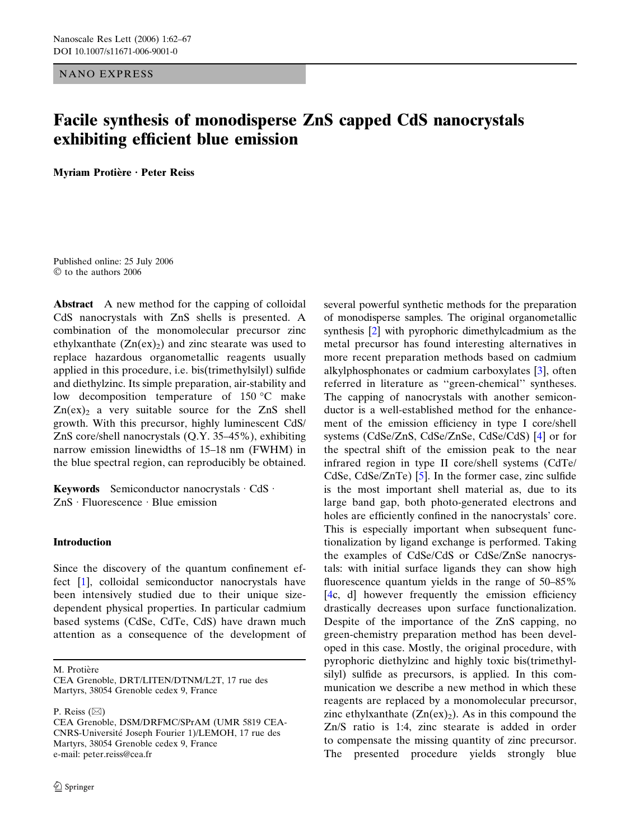NANO EXPRESS

# Facile synthesis of monodisperse ZnS capped CdS nanocrystals exhibiting efficient blue emission

Myriam Protière · Peter Reiss

Published online: 25 July 2006  $©$  to the authors 2006

Abstract A new method for the capping of colloidal CdS nanocrystals with ZnS shells is presented. A combination of the monomolecular precursor zinc ethylxanthate  $(Zn(ex))$  and zinc stearate was used to replace hazardous organometallic reagents usually applied in this procedure, i.e. bis(trimethylsilyl) sulfide and diethylzinc. Its simple preparation, air-stability and low decomposition temperature of  $150 °C$  make  $Zn(ex)$  a very suitable source for the  $ZnS$  shell growth. With this precursor, highly luminescent CdS/ ZnS core/shell nanocrystals (Q.Y. 35–45%), exhibiting narrow emission linewidths of 15–18 nm (FWHM) in the blue spectral region, can reproducibly be obtained.

Keywords Semiconductor nanocrystals  $\cdot$  CdS  $\cdot$  $ZnS \cdot Fluorescence \cdot Blue emission$ 

## Introduction

Since the discovery of the quantum confinement effect [\[1](#page-4-0)], colloidal semiconductor nanocrystals have been intensively studied due to their unique sizedependent physical properties. In particular cadmium based systems (CdSe, CdTe, CdS) have drawn much attention as a consequence of the development of

M. Protière

P. Reiss  $(\boxtimes)$ 

several powerful synthetic methods for the preparation of monodisperse samples. The original organometallic synthesis [[2\]](#page-4-0) with pyrophoric dimethylcadmium as the metal precursor has found interesting alternatives in more recent preparation methods based on cadmium alkylphosphonates or cadmium carboxylates [[3\]](#page-4-0), often referred in literature as ''green-chemical'' syntheses. The capping of nanocrystals with another semiconductor is a well-established method for the enhancement of the emission efficiency in type I core/shell systems (CdSe/ZnS, CdSe/ZnSe, CdSe/CdS) [\[4](#page-4-0)] or for the spectral shift of the emission peak to the near infrared region in type II core/shell systems (CdTe/ CdSe, CdSe/ZnTe) [[5\]](#page-4-0). In the former case, zinc sulfide is the most important shell material as, due to its large band gap, both photo-generated electrons and holes are efficiently confined in the nanocrystals' core. This is especially important when subsequent functionalization by ligand exchange is performed. Taking the examples of CdSe/CdS or CdSe/ZnSe nanocrystals: with initial surface ligands they can show high fluorescence quantum yields in the range of 50–85% [[4c](#page-4-0), d] however frequently the emission efficiency drastically decreases upon surface functionalization. Despite of the importance of the ZnS capping, no green-chemistry preparation method has been developed in this case. Mostly, the original procedure, with pyrophoric diethylzinc and highly toxic bis(trimethylsilyl) sulfide as precursors, is applied. In this communication we describe a new method in which these reagents are replaced by a monomolecular precursor, zinc ethylxanthate  $(Zn(ex))_2$ . As in this compound the Zn/S ratio is 1:4, zinc stearate is added in order to compensate the missing quantity of zinc precursor. The presented procedure yields strongly blue

CEA Grenoble, DRT/LITEN/DTNM/L2T, 17 rue des Martyrs, 38054 Grenoble cedex 9, France

CEA Grenoble, DSM/DRFMC/SPrAM (UMR 5819 CEA-CNRS-Universite´ Joseph Fourier 1)/LEMOH, 17 rue des Martyrs, 38054 Grenoble cedex 9, France e-mail: peter.reiss@cea.fr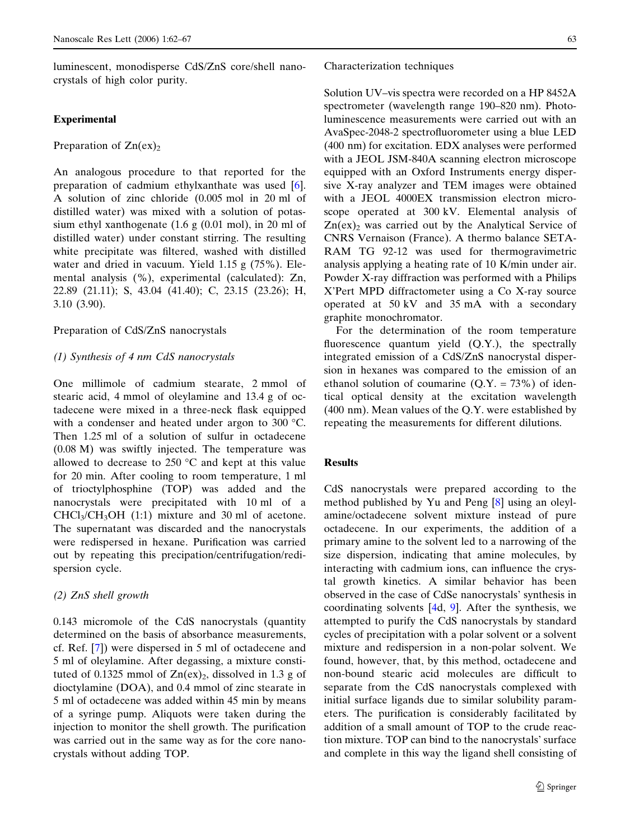luminescent, monodisperse CdS/ZnS core/shell nanocrystals of high color purity.

#### Experimental

Preparation of  $Zn(ex)_2$ 

An analogous procedure to that reported for the preparation of cadmium ethylxanthate was used [[6\]](#page-4-0). A solution of zinc chloride (0.005 mol in 20 ml of distilled water) was mixed with a solution of potassium ethyl xanthogenate (1.6 g (0.01 mol), in 20 ml of distilled water) under constant stirring. The resulting white precipitate was filtered, washed with distilled water and dried in vacuum. Yield 1.15 g (75%). Elemental analysis (%), experimental (calculated): Zn, 22.89 (21.11); S, 43.04 (41.40); C, 23.15 (23.26); H, 3.10 (3.90).

## Preparation of CdS/ZnS nanocrystals

## (1) Synthesis of 4 nm CdS nanocrystals

One millimole of cadmium stearate, 2 mmol of stearic acid, 4 mmol of oleylamine and 13.4 g of octadecene were mixed in a three-neck flask equipped with a condenser and heated under argon to 300 °C. Then 1.25 ml of a solution of sulfur in octadecene (0.08 M) was swiftly injected. The temperature was allowed to decrease to  $250 \degree C$  and kept at this value for 20 min. After cooling to room temperature, 1 ml of trioctylphosphine (TOP) was added and the nanocrystals were precipitated with 10 ml of a  $CHCl<sub>3</sub>/CH<sub>3</sub>OH$  (1:1) mixture and 30 ml of acetone. The supernatant was discarded and the nanocrystals were redispersed in hexane. Purification was carried out by repeating this precipation/centrifugation/redispersion cycle.

## (2) ZnS shell growth

0.143 micromole of the CdS nanocrystals (quantity determined on the basis of absorbance measurements, cf. Ref. [\[7](#page-4-0)]) were dispersed in 5 ml of octadecene and 5 ml of oleylamine. After degassing, a mixture constituted of 0.1325 mmol of  $Zn(ex)_2$ , dissolved in 1.3 g of dioctylamine (DOA), and 0.4 mmol of zinc stearate in 5 ml of octadecene was added within 45 min by means of a syringe pump. Aliquots were taken during the injection to monitor the shell growth. The purification was carried out in the same way as for the core nanocrystals without adding TOP.

#### Characterization techniques

Solution UV–vis spectra were recorded on a HP 8452A spectrometer (wavelength range 190–820 nm). Photoluminescence measurements were carried out with an AvaSpec-2048-2 spectrofluorometer using a blue LED (400 nm) for excitation. EDX analyses were performed with a JEOL JSM-840A scanning electron microscope equipped with an Oxford Instruments energy dispersive X-ray analyzer and TEM images were obtained with a JEOL 4000EX transmission electron microscope operated at 300 kV. Elemental analysis of  $Zn(ex)$ <sub>2</sub> was carried out by the Analytical Service of CNRS Vernaison (France). A thermo balance SETA-RAM TG 92-12 was used for thermogravimetric analysis applying a heating rate of 10 K/min under air. Powder X-ray diffraction was performed with a Philips X'Pert MPD diffractometer using a Co X-ray source operated at 50 kV and 35 mA with a secondary graphite monochromator.

For the determination of the room temperature fluorescence quantum yield (Q.Y.), the spectrally integrated emission of a CdS/ZnS nanocrystal dispersion in hexanes was compared to the emission of an ethanol solution of coumarine  $(Q.Y. = 73\%)$  of identical optical density at the excitation wavelength (400 nm). Mean values of the Q.Y. were established by repeating the measurements for different dilutions.

## Results

CdS nanocrystals were prepared according to the method published by Yu and Peng [[8\]](#page-5-0) using an oleylamine/octadecene solvent mixture instead of pure octadecene. In our experiments, the addition of a primary amine to the solvent led to a narrowing of the size dispersion, indicating that amine molecules, by interacting with cadmium ions, can influence the crystal growth kinetics. A similar behavior has been observed in the case of CdSe nanocrystals' synthesis in coordinating solvents [\[4](#page-4-0)d, [9](#page-5-0)]. After the synthesis, we attempted to purify the CdS nanocrystals by standard cycles of precipitation with a polar solvent or a solvent mixture and redispersion in a non-polar solvent. We found, however, that, by this method, octadecene and non-bound stearic acid molecules are difficult to separate from the CdS nanocrystals complexed with initial surface ligands due to similar solubility parameters. The purification is considerably facilitated by addition of a small amount of TOP to the crude reaction mixture. TOP can bind to the nanocrystals' surface and complete in this way the ligand shell consisting of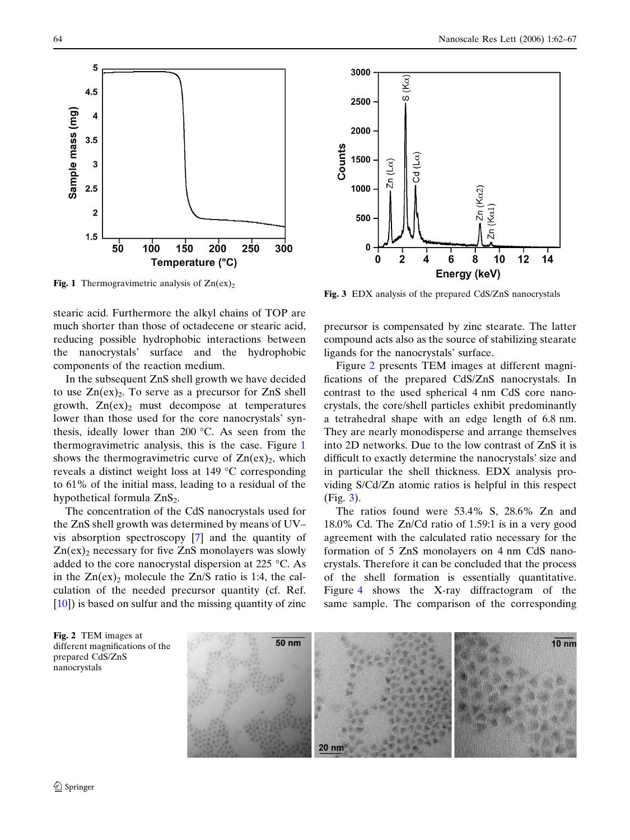

Fig. 1 Thermogravimetric analysis of  $Zn(ex)_2$ 

stearic acid. Furthermore the alkyl chains of TOP are much shorter than those of octadecene or stearic acid, reducing possible hydrophobic interactions between the nanocrystals' surface and the hydrophobic components of the reaction medium.

In the subsequent ZnS shell growth we have decided to use  $Zn(ex)_2$ . To serve as a precursor for  $ZnS$  shell growth,  $Zn(ex)_2$  must decompose at temperatures lower than those used for the core nanocrystals' synthesis, ideally lower than 200  $\degree$ C. As seen from the thermogravimetric analysis, this is the case. Figure 1 shows the thermogravimetric curve of  $Zn(ex)_2$ , which reveals a distinct weight loss at  $149\text{ °C}$  corresponding to 61% of the initial mass, leading to a residual of the hypothetical formula  $ZnS<sub>2</sub>$ .

The concentration of the CdS nanocrystals used for the ZnS shell growth was determined by means of UV– vis absorption spectroscopy [[7\]](#page-4-0) and the quantity of  $Zn(ex)$  necessary for five  $ZnS$  monolayers was slowly added to the core nanocrystal dispersion at 225  $\degree$ C. As in the  $Zn(ex)$  molecule the  $Zn/S$  ratio is 1:4, the calculation of the needed precursor quantity (cf. Ref. [[10\]](#page-5-0)) is based on sulfur and the missing quantity of zinc



Fig. 3 EDX analysis of the prepared CdS/ZnS nanocrystals

precursor is compensated by zinc stearate. The latter compound acts also as the source of stabilizing stearate ligands for the nanocrystals' surface.

Figure 2 presents TEM images at different magnifications of the prepared CdS/ZnS nanocrystals. In contrast to the used spherical 4 nm CdS core nanocrystals, the core/shell particles exhibit predominantly a tetrahedral shape with an edge length of 6.8 nm. They are nearly monodisperse and arrange themselves into 2D networks. Due to the low contrast of ZnS it is difficult to exactly determine the nanocrystals' size and in particular the shell thickness. EDX analysis providing S/Cd/Zn atomic ratios is helpful in this respect (Fig. 3).

The ratios found were 53.4% S, 28.6% Zn and 18.0% Cd. The Zn/Cd ratio of 1.59:1 is in a very good agreement with the calculated ratio necessary for the formation of 5 ZnS monolayers on 4 nm CdS nanocrystals. Therefore it can be concluded that the process of the shell formation is essentially quantitative. Figure [4](#page-3-0) shows the X-ray diffractogram of the same sample. The comparison of the corresponding

Fig. 2 TEM images at different magnifications of the prepared CdS/ZnS nanocrystals

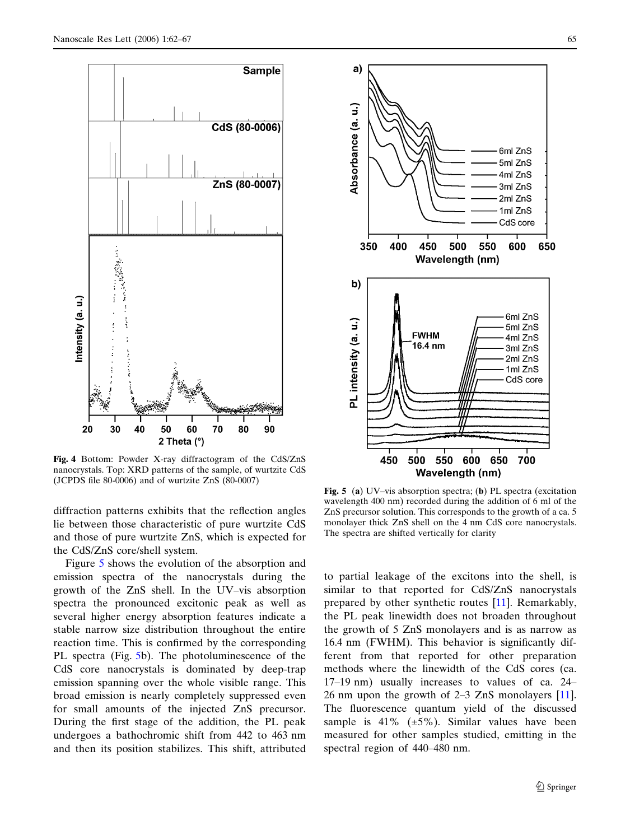<span id="page-3-0"></span>

Fig. 4 Bottom: Powder X-ray diffractogram of the CdS/ZnS nanocrystals. Top: XRD patterns of the sample, of wurtzite CdS (JCPDS file 80-0006) and of wurtzite ZnS (80-0007)

diffraction patterns exhibits that the reflection angles lie between those characteristic of pure wurtzite CdS and those of pure wurtzite ZnS, which is expected for the CdS/ZnS core/shell system.

Figure 5 shows the evolution of the absorption and emission spectra of the nanocrystals during the growth of the ZnS shell. In the UV–vis absorption spectra the pronounced excitonic peak as well as several higher energy absorption features indicate a stable narrow size distribution throughout the entire reaction time. This is confirmed by the corresponding PL spectra (Fig. 5b). The photoluminescence of the CdS core nanocrystals is dominated by deep-trap emission spanning over the whole visible range. This broad emission is nearly completely suppressed even for small amounts of the injected ZnS precursor. During the first stage of the addition, the PL peak undergoes a bathochromic shift from 442 to 463 nm and then its position stabilizes. This shift, attributed



Fig. 5 (a) UV–vis absorption spectra; (b) PL spectra (excitation wavelength 400 nm) recorded during the addition of 6 ml of the ZnS precursor solution. This corresponds to the growth of a ca. 5 monolayer thick ZnS shell on the 4 nm CdS core nanocrystals. The spectra are shifted vertically for clarity

to partial leakage of the excitons into the shell, is similar to that reported for CdS/ZnS nanocrystals prepared by other synthetic routes [[11\]](#page-5-0). Remarkably, the PL peak linewidth does not broaden throughout the growth of 5 ZnS monolayers and is as narrow as 16.4 nm (FWHM). This behavior is significantly different from that reported for other preparation methods where the linewidth of the CdS cores (ca. 17–19 nm) usually increases to values of ca. 24– 26 nm upon the growth of 2–3 ZnS monolayers [[11\]](#page-5-0). The fluorescence quantum yield of the discussed sample is 41%  $(\pm 5\%)$ . Similar values have been measured for other samples studied, emitting in the spectral region of 440–480 nm.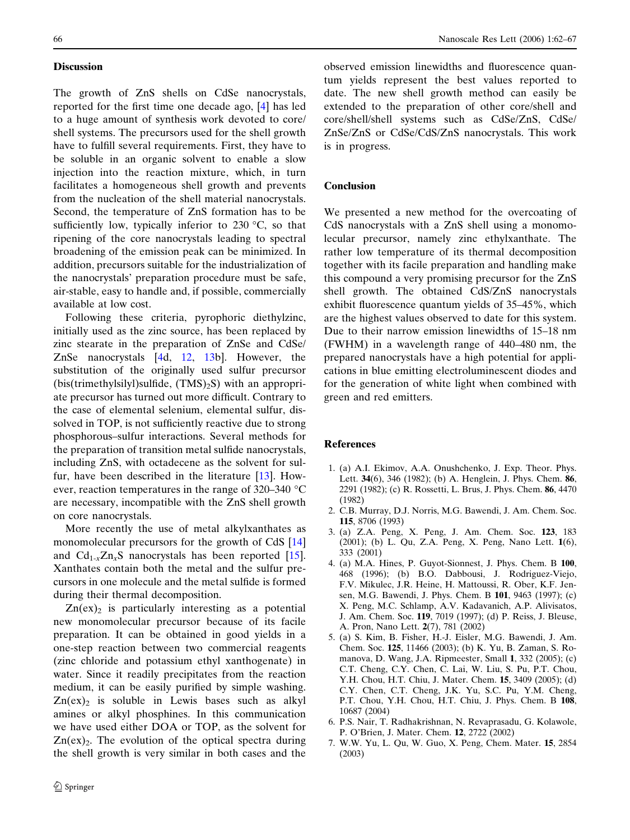### <span id="page-4-0"></span>**Discussion**

The growth of ZnS shells on CdSe nanocrystals, reported for the first time one decade ago, [4] has led to a huge amount of synthesis work devoted to core/ shell systems. The precursors used for the shell growth have to fulfill several requirements. First, they have to be soluble in an organic solvent to enable a slow injection into the reaction mixture, which, in turn facilitates a homogeneous shell growth and prevents from the nucleation of the shell material nanocrystals. Second, the temperature of ZnS formation has to be sufficiently low, typically inferior to 230  $\,^{\circ}$ C, so that ripening of the core nanocrystals leading to spectral broadening of the emission peak can be minimized. In addition, precursors suitable for the industrialization of the nanocrystals' preparation procedure must be safe, air-stable, easy to handle and, if possible, commercially available at low cost.

Following these criteria, pyrophoric diethylzinc, initially used as the zinc source, has been replaced by zinc stearate in the preparation of ZnSe and CdSe/ ZnSe nanocrystals [4d, [12](#page-5-0), [13b](#page-5-0)]. However, the substitution of the originally used sulfur precursor  $(bis(trimethylsilyl)subfide, (TMS)<sub>2</sub>S)$  with an appropriate precursor has turned out more difficult. Contrary to the case of elemental selenium, elemental sulfur, dissolved in TOP, is not sufficiently reactive due to strong phosphorous–sulfur interactions. Several methods for the preparation of transition metal sulfide nanocrystals, including ZnS, with octadecene as the solvent for sulfur, have been described in the literature [\[13](#page-5-0)]. However, reaction temperatures in the range of  $320-340$  °C are necessary, incompatible with the ZnS shell growth on core nanocrystals.

More recently the use of metal alkylxanthates as monomolecular precursors for the growth of CdS [\[14](#page-5-0)] and  $Cd_{1-x}Zn_xS$  nanocrystals has been reported [[15\]](#page-5-0). Xanthates contain both the metal and the sulfur precursors in one molecule and the metal sulfide is formed during their thermal decomposition.

 $Zn(ex)_2$  is particularly interesting as a potential new monomolecular precursor because of its facile preparation. It can be obtained in good yields in a one-step reaction between two commercial reagents (zinc chloride and potassium ethyl xanthogenate) in water. Since it readily precipitates from the reaction medium, it can be easily purified by simple washing.  $Zn(ex)_2$  is soluble in Lewis bases such as alkyl amines or alkyl phosphines. In this communication we have used either DOA or TOP, as the solvent for  $Zn(ex)_2$ . The evolution of the optical spectra during the shell growth is very similar in both cases and the

observed emission linewidths and fluorescence quantum yields represent the best values reported to date. The new shell growth method can easily be extended to the preparation of other core/shell and core/shell/shell systems such as CdSe/ZnS, CdSe/ ZnSe/ZnS or CdSe/CdS/ZnS nanocrystals. This work is in progress.

## Conclusion

We presented a new method for the overcoating of CdS nanocrystals with a ZnS shell using a monomolecular precursor, namely zinc ethylxanthate. The rather low temperature of its thermal decomposition together with its facile preparation and handling make this compound a very promising precursor for the ZnS shell growth. The obtained CdS/ZnS nanocrystals exhibit fluorescence quantum yields of 35–45%, which are the highest values observed to date for this system. Due to their narrow emission linewidths of 15–18 nm (FWHM) in a wavelength range of 440–480 nm, the prepared nanocrystals have a high potential for applications in blue emitting electroluminescent diodes and for the generation of white light when combined with green and red emitters.

#### References

- 1. (a) A.I. Ekimov, A.A. Onushchenko, J. Exp. Theor. Phys. Lett. 34(6), 346 (1982); (b) A. Henglein, J. Phys. Chem. 86, 2291 (1982); (c) R. Rossetti, L. Brus, J. Phys. Chem. 86, 4470 (1982)
- 2. C.B. Murray, D.J. Norris, M.G. Bawendi, J. Am. Chem. Soc. 115, 8706 (1993)
- 3. (a) Z.A. Peng, X. Peng, J. Am. Chem. Soc. 123, 183 (2001); (b) L. Qu, Z.A. Peng, X. Peng, Nano Lett. 1(6), 333 (2001)
- 4. (a) M.A. Hines, P. Guyot-Sionnest, J. Phys. Chem. B 100, 468 (1996); (b) B.O. Dabbousi, J. Rodriguez-Viejo, F.V. Mikulec, J.R. Heine, H. Mattoussi, R. Ober, K.F. Jensen, M.G. Bawendi, J. Phys. Chem. B 101, 9463 (1997); (c) X. Peng, M.C. Schlamp, A.V. Kadavanich, A.P. Alivisatos, J. Am. Chem. Soc. 119, 7019 (1997); (d) P. Reiss, J. Bleuse, A. Pron, Nano Lett. 2(7), 781 (2002)
- 5. (a) S. Kim, B. Fisher, H.-J. Eisler, M.G. Bawendi, J. Am. Chem. Soc. 125, 11466 (2003); (b) K. Yu, B. Zaman, S. Romanova, D. Wang, J.A. Ripmeester, Small 1, 332 (2005); (c) C.T. Cheng, C.Y. Chen, C. Lai, W. Liu, S. Pu, P.T. Chou, Y.H. Chou, H.T. Chiu, J. Mater. Chem. 15, 3409 (2005); (d) C.Y. Chen, C.T. Cheng, J.K. Yu, S.C. Pu, Y.M. Cheng, P.T. Chou, Y.H. Chou, H.T. Chiu, J. Phys. Chem. B 108, 10687 (2004)
- 6. P.S. Nair, T. Radhakrishnan, N. Revaprasadu, G. Kolawole, P. O'Brien, J. Mater. Chem. 12, 2722 (2002)
- 7. W.W. Yu, L. Qu, W. Guo, X. Peng, Chem. Mater. 15, 2854 (2003)